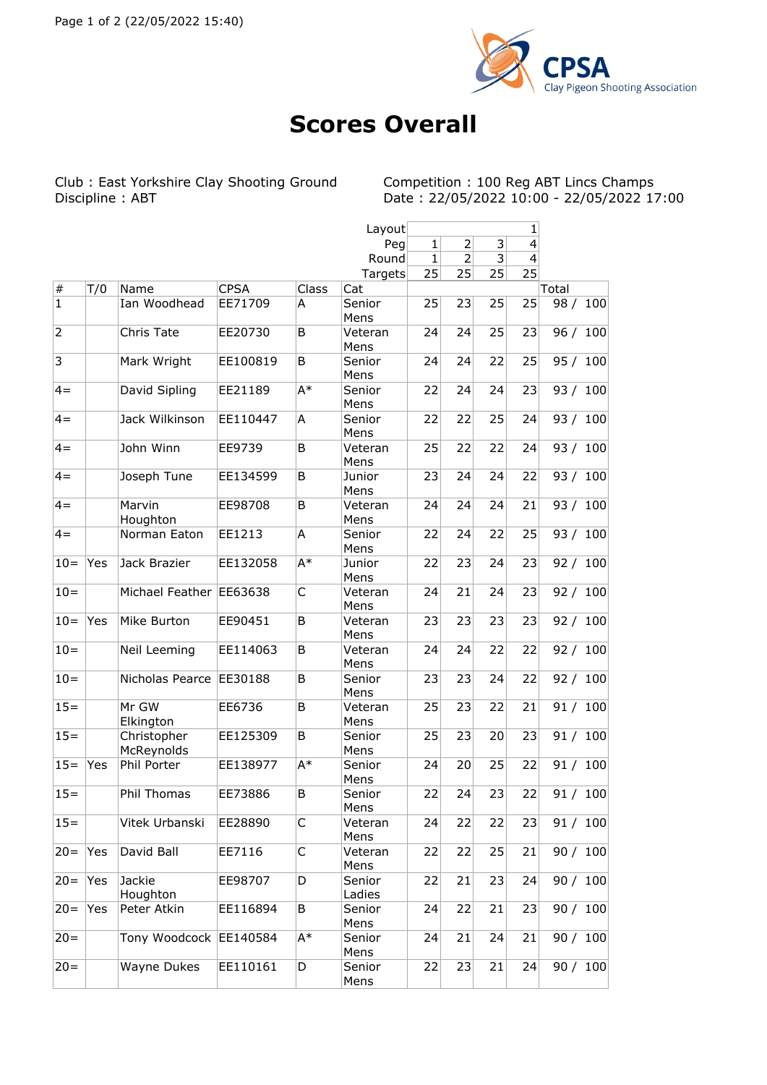

## **Scores Overall**

Club : East Yorkshire Clay Shooting Ground<br>Discipline : ABT

Competition : 100 Reg ABT Lincs Champs<br>Date : 22/05/2022 10:00 - 22/05/2022 17:00

|                |     |                           |             |       | Layout                 | 1            |                |    |                          |            |
|----------------|-----|---------------------------|-------------|-------|------------------------|--------------|----------------|----|--------------------------|------------|
|                |     |                           |             |       | Peg                    | $\mathbf{1}$ | $\overline{2}$ | 3  | $\overline{\mathbf{4}}$  |            |
|                |     |                           |             |       | Round                  | $\mathbf{1}$ | $\overline{2}$ | 3  | $\overline{\mathcal{L}}$ |            |
|                |     |                           |             |       | Targets                | 25           | 25             | 25 | 25                       |            |
| $\vert \#$     | T/0 | Name                      | <b>CPSA</b> | Class | Cat                    |              |                |    |                          | Total      |
| $\overline{1}$ |     | Ian Woodhead              | EE71709     | A     | Senior                 | 25           | 23             | 25 | 25                       | 98 / 100   |
|                |     |                           |             |       | Mens                   |              |                |    |                          |            |
| $\overline{2}$ |     | Chris Tate                | EE20730     | B     | Veteran<br>Mens        | 24           | 24             | 25 | 23                       | 96 / 100   |
| $\overline{3}$ |     | Mark Wright               | EE100819    | B     | Senior<br>Mens         | 24           | 24             | 22 | 25                       | 95 / 100   |
| $4 =$          |     | David Sipling             | EE21189     | A*    | Senior<br>Mens         | 22           | 24             | 24 | 23                       | 93 / 100   |
| $4 =$          |     | Jack Wilkinson            | EE110447    | A     | Senior<br>Mens         | 22           | 22             | 25 | 24                       | 93 / 100   |
| $4 =$          |     | John Winn                 | EE9739      | B     | Veteran                | 25           | 22             | 22 | 24                       | 93 / 100   |
|                |     |                           |             |       | Mens                   |              |                |    |                          |            |
| $4 =$          |     | Joseph Tune               | EE134599    | B     | Junior<br>Mens         | 23           | 24             | 24 | 22                       | 93 / 100   |
| $4 =$          |     | Marvin<br>Houghton        | EE98708     | B     | Veteran<br>Mens        | 24           | 24             | 24 | 21                       | 93/<br>100 |
| $4 =$          |     | Norman Eaton              | EE1213      | A     | Senior                 | 22           | 24             | 22 | 25                       | 93 / 100   |
|                |     |                           |             |       | Mens                   |              |                |    |                          |            |
| $10 =$         | Yes | Jack Brazier              | EE132058    | $A^*$ | Junior<br>Mens         | 22           | 23             | 24 | 23                       | 92 / 100   |
| $10=$          |     | Michael Feather EE63638   |             | C     | Veteran<br>Mens        | 24           | 21             | 24 | 23                       | 92/<br>100 |
| $10=$          | Yes | Mike Burton               | EE90451     | B     | Veteran<br>Mens        | 23           | 23             | 23 | 23                       | 92 / 100   |
| $10=$          |     | Neil Leeming              | EE114063    | B     | Veteran<br>Mens        | 24           | 24             | 22 | 22                       | 92 / 100   |
| $10 =$         |     | Nicholas Pearce   EE30188 |             | B     | Senior<br>Mens         | 23           | 23             | 24 | 22                       | 92 / 100   |
| $15 =$         |     | Mr GW                     | EE6736      | B     | Veteran                | 25           | 23             | 22 | 21                       | 100<br>91/ |
|                |     | Elkington                 |             |       | Mens                   |              |                |    |                          |            |
| $15 =$         |     | Christopher<br>McReynolds | EE125309    | B     | Senior<br>Mens         | 25           | 23             | 20 | 23                       | 91 / 100   |
| $15 =$         | Yes | Phil Porter               | EE138977    | A*    | Senior<br>Mens         | 24           | 20             | 25 | 22                       | 91 / 100   |
| $15 =$         |     | Phil Thomas               | EE73886     | В     | Senior<br>Mens         | 22           | 24             | 23 | 22                       | 91 / 100   |
| $15=$          |     | Vitek Urbanski            | EE28890     | C     | Veteran<br>Mens        | 24           | 22             | 22 | 23                       | 91 / 100   |
| $20 =$         | Yes | David Ball                | EE7116      | С     | Veteran<br>Mens        | 22           | 22             | 25 | 21                       | 90 / 100   |
| $20 =$         | Yes | Jackie                    | EE98707     | D     | Senior                 | 22           | 21             | 23 | 24                       | 90 / 100   |
| $ 20=$         | Yes | Houghton<br>Peter Atkin   | EE116894    | В     | Ladies<br>Senior       | 24           | 22             | 21 | 23                       | 90 / 100   |
| $20 =$         |     | Tony Woodcock EE140584    |             | A*    | Mens<br>Senior         | 24           | 21             | 24 | 21                       | 90 / 100   |
| $ 20=$         |     | Wayne Dukes               | EE110161    | D     | Mens<br>Senior<br>Mens | 22           | 23             | 21 | 24                       | 90 / 100   |